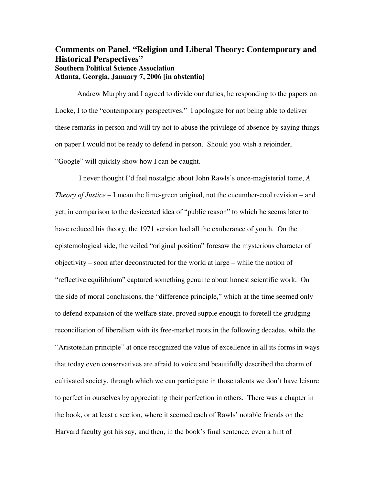## **Comments on Panel, "Religion and Liberal Theory: Contemporary and Historical Perspectives" Southern Political Science Association Atlanta, Georgia, January 7, 2006 [in abstentia]**

Andrew Murphy and I agreed to divide our duties, he responding to the papers on Locke, I to the "contemporary perspectives." I apologize for not being able to deliver these remarks in person and will try not to abuse the privilege of absence by saying things on paper I would not be ready to defend in person. Should you wish a rejoinder, "Google" will quickly show how I can be caught.

 I never thought I'd feel nostalgic about John Rawls's once-magisterial tome, *A Theory of Justice* – I mean the lime-green original, not the cucumber-cool revision – and yet, in comparison to the desiccated idea of "public reason" to which he seems later to have reduced his theory, the 1971 version had all the exuberance of youth. On the epistemological side, the veiled "original position" foresaw the mysterious character of objectivity – soon after deconstructed for the world at large – while the notion of "reflective equilibrium" captured something genuine about honest scientific work. On the side of moral conclusions, the "difference principle," which at the time seemed only to defend expansion of the welfare state, proved supple enough to foretell the grudging reconciliation of liberalism with its free-market roots in the following decades, while the "Aristotelian principle" at once recognized the value of excellence in all its forms in ways that today even conservatives are afraid to voice and beautifully described the charm of cultivated society, through which we can participate in those talents we don't have leisure to perfect in ourselves by appreciating their perfection in others. There was a chapter in the book, or at least a section, where it seemed each of Rawls' notable friends on the Harvard faculty got his say, and then, in the book's final sentence, even a hint of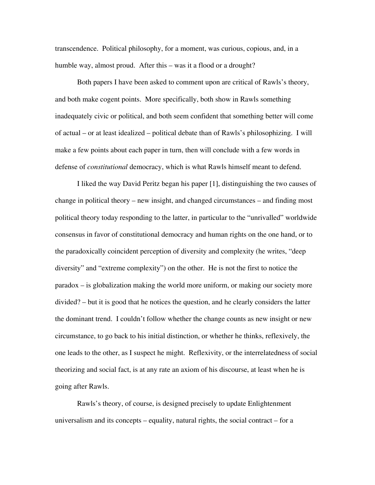transcendence. Political philosophy, for a moment, was curious, copious, and, in a humble way, almost proud. After this – was it a flood or a drought?

 Both papers I have been asked to comment upon are critical of Rawls's theory, and both make cogent points. More specifically, both show in Rawls something inadequately civic or political, and both seem confident that something better will come of actual – or at least idealized – political debate than of Rawls's philosophizing. I will make a few points about each paper in turn, then will conclude with a few words in defense of *constitutional* democracy, which is what Rawls himself meant to defend.

 I liked the way David Peritz began his paper [1], distinguishing the two causes of change in political theory – new insight, and changed circumstances – and finding most political theory today responding to the latter, in particular to the "unrivalled" worldwide consensus in favor of constitutional democracy and human rights on the one hand, or to the paradoxically coincident perception of diversity and complexity (he writes, "deep diversity" and "extreme complexity") on the other. He is not the first to notice the paradox – is globalization making the world more uniform, or making our society more divided? – but it is good that he notices the question, and he clearly considers the latter the dominant trend. I couldn't follow whether the change counts as new insight or new circumstance, to go back to his initial distinction, or whether he thinks, reflexively, the one leads to the other, as I suspect he might. Reflexivity, or the interrelatedness of social theorizing and social fact, is at any rate an axiom of his discourse, at least when he is going after Rawls.

 Rawls's theory, of course, is designed precisely to update Enlightenment universalism and its concepts – equality, natural rights, the social contract – for a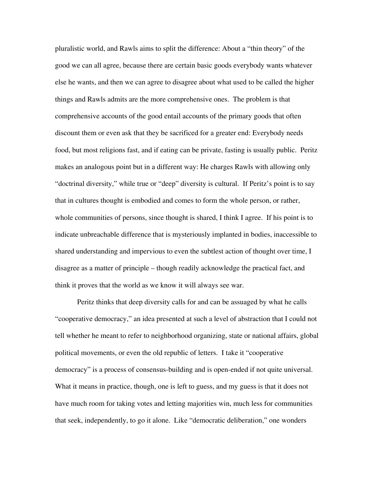pluralistic world, and Rawls aims to split the difference: About a "thin theory" of the good we can all agree, because there are certain basic goods everybody wants whatever else he wants, and then we can agree to disagree about what used to be called the higher things and Rawls admits are the more comprehensive ones. The problem is that comprehensive accounts of the good entail accounts of the primary goods that often discount them or even ask that they be sacrificed for a greater end: Everybody needs food, but most religions fast, and if eating can be private, fasting is usually public. Peritz makes an analogous point but in a different way: He charges Rawls with allowing only "doctrinal diversity," while true or "deep" diversity is cultural. If Peritz's point is to say that in cultures thought is embodied and comes to form the whole person, or rather, whole communities of persons, since thought is shared, I think I agree. If his point is to indicate unbreachable difference that is mysteriously implanted in bodies, inaccessible to shared understanding and impervious to even the subtlest action of thought over time, I disagree as a matter of principle – though readily acknowledge the practical fact, and think it proves that the world as we know it will always see war.

 Peritz thinks that deep diversity calls for and can be assuaged by what he calls "cooperative democracy," an idea presented at such a level of abstraction that I could not tell whether he meant to refer to neighborhood organizing, state or national affairs, global political movements, or even the old republic of letters. I take it "cooperative democracy" is a process of consensus-building and is open-ended if not quite universal. What it means in practice, though, one is left to guess, and my guess is that it does not have much room for taking votes and letting majorities win, much less for communities that seek, independently, to go it alone. Like "democratic deliberation," one wonders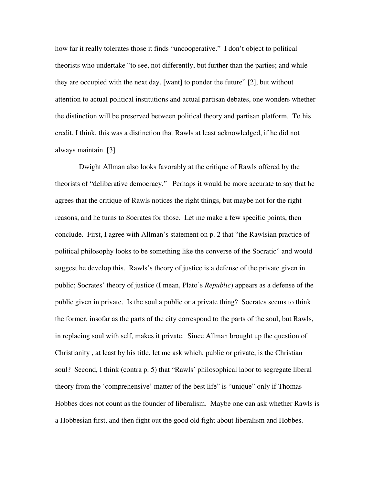how far it really tolerates those it finds "uncooperative." I don't object to political theorists who undertake "to see, not differently, but further than the parties; and while they are occupied with the next day, [want] to ponder the future" [2], but without attention to actual political institutions and actual partisan debates, one wonders whether the distinction will be preserved between political theory and partisan platform. To his credit, I think, this was a distinction that Rawls at least acknowledged, if he did not always maintain. [3]

 Dwight Allman also looks favorably at the critique of Rawls offered by the theorists of "deliberative democracy." Perhaps it would be more accurate to say that he agrees that the critique of Rawls notices the right things, but maybe not for the right reasons, and he turns to Socrates for those. Let me make a few specific points, then conclude. First, I agree with Allman's statement on p. 2 that "the Rawlsian practice of political philosophy looks to be something like the converse of the Socratic" and would suggest he develop this. Rawls's theory of justice is a defense of the private given in public; Socrates' theory of justice (I mean, Plato's *Republic*) appears as a defense of the public given in private. Is the soul a public or a private thing? Socrates seems to think the former, insofar as the parts of the city correspond to the parts of the soul, but Rawls, in replacing soul with self, makes it private. Since Allman brought up the question of Christianity , at least by his title, let me ask which, public or private, is the Christian soul? Second, I think (contra p. 5) that "Rawls' philosophical labor to segregate liberal theory from the 'comprehensive' matter of the best life" is "unique" only if Thomas Hobbes does not count as the founder of liberalism. Maybe one can ask whether Rawls is a Hobbesian first, and then fight out the good old fight about liberalism and Hobbes.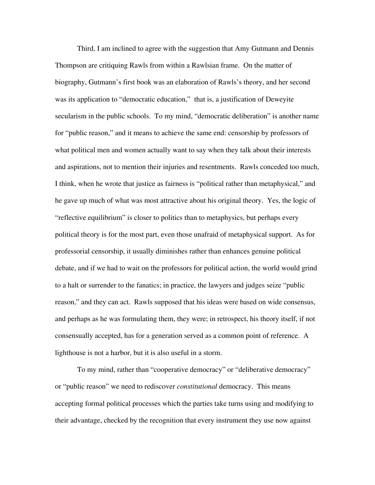Third, I am inclined to agree with the suggestion that Amy Gutmann and Dennis Thompson are critiquing Rawls from within a Rawlsian frame. On the matter of biography, Gutmann's first book was an elaboration of Rawls's theory, and her second was its application to "democratic education," that is, a justification of Deweyite secularism in the public schools. To my mind, "democratic deliberation" is another name for "public reason," and it means to achieve the same end: censorship by professors of what political men and women actually want to say when they talk about their interests and aspirations, not to mention their injuries and resentments. Rawls conceded too much, I think, when he wrote that justice as fairness is "political rather than metaphysical," and he gave up much of what was most attractive about his original theory. Yes, the logic of "reflective equilibrium" is closer to politics than to metaphysics, but perhaps every political theory is for the most part, even those unafraid of metaphysical support. As for professorial censorship, it usually diminishes rather than enhances genuine political debate, and if we had to wait on the professors for political action, the world would grind to a halt or surrender to the fanatics; in practice, the lawyers and judges seize "public reason," and they can act. Rawls supposed that his ideas were based on wide consensus, and perhaps as he was formulating them, they were; in retrospect, his theory itself, if not consensually accepted, has for a generation served as a common point of reference. A lighthouse is not a harbor, but it is also useful in a storm.

 To my mind, rather than "cooperative democracy" or "deliberative democracy" or "public reason" we need to rediscover *constitutional* democracy. This means accepting formal political processes which the parties take turns using and modifying to their advantage, checked by the recognition that every instrument they use now against